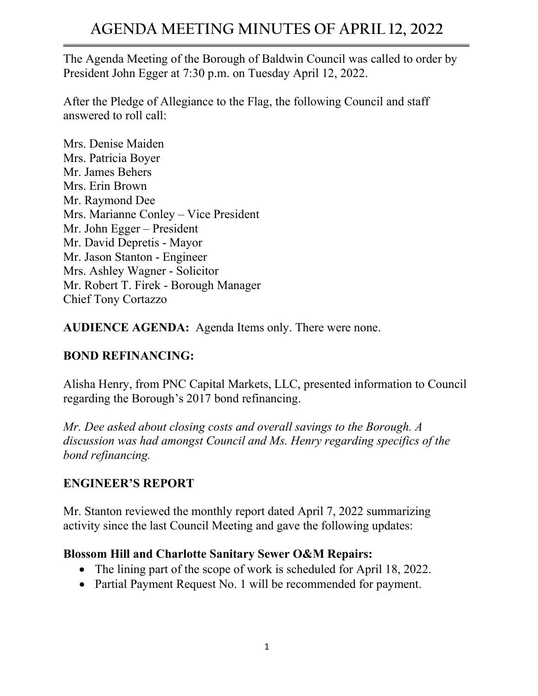# **AGENDA MEETING MINUTES OF APRIL 12, 2022**

The Agenda Meeting of the Borough of Baldwin Council was called to order by President John Egger at 7:30 p.m. on Tuesday April 12, 2022.

After the Pledge of Allegiance to the Flag, the following Council and staff answered to roll call:

Mrs. Denise Maiden Mrs. Patricia Boyer Mr. James Behers Mrs. Erin Brown Mr. Raymond Dee Mrs. Marianne Conley – Vice President Mr. John Egger – President Mr. David Depretis - Mayor Mr. Jason Stanton - Engineer Mrs. Ashley Wagner - Solicitor Mr. Robert T. Firek - Borough Manager Chief Tony Cortazzo

**AUDIENCE AGENDA:** Agenda Items only. There were none.

#### **BOND REFINANCING:**

Alisha Henry, from PNC Capital Markets, LLC, presented information to Council regarding the Borough's 2017 bond refinancing.

*Mr. Dee asked about closing costs and overall savings to the Borough. A discussion was had amongst Council and Ms. Henry regarding specifics of the bond refinancing.*

#### **ENGINEER'S REPORT**

Mr. Stanton reviewed the monthly report dated April 7, 2022 summarizing activity since the last Council Meeting and gave the following updates:

#### **Blossom Hill and Charlotte Sanitary Sewer O&M Repairs:**

- The lining part of the scope of work is scheduled for April 18, 2022.
- Partial Payment Request No. 1 will be recommended for payment.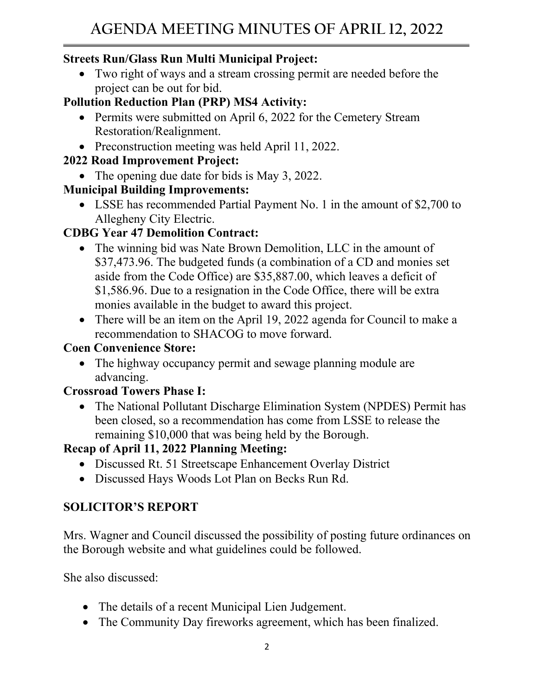## **Streets Run/Glass Run Multi Municipal Project:**

• Two right of ways and a stream crossing permit are needed before the project can be out for bid.

# **Pollution Reduction Plan (PRP) MS4 Activity:**

- Permits were submitted on April 6, 2022 for the Cemetery Stream Restoration/Realignment.
- Preconstruction meeting was held April 11, 2022.

# **2022 Road Improvement Project:**

• The opening due date for bids is May 3, 2022.

# **Municipal Building Improvements:**

• LSSE has recommended Partial Payment No. 1 in the amount of \$2,700 to Allegheny City Electric.

# **CDBG Year 47 Demolition Contract:**

- The winning bid was Nate Brown Demolition, LLC in the amount of \$37,473.96. The budgeted funds (a combination of a CD and monies set aside from the Code Office) are \$35,887.00, which leaves a deficit of \$1,586.96. Due to a resignation in the Code Office, there will be extra monies available in the budget to award this project.
- There will be an item on the April 19, 2022 agenda for Council to make a recommendation to SHACOG to move forward.

## **Coen Convenience Store:**

• The highway occupancy permit and sewage planning module are advancing.

## **Crossroad Towers Phase I:**

• The National Pollutant Discharge Elimination System (NPDES) Permit has been closed, so a recommendation has come from LSSE to release the remaining \$10,000 that was being held by the Borough.

# **Recap of April 11, 2022 Planning Meeting:**

- Discussed Rt. 51 Streetscape Enhancement Overlay District
- Discussed Hays Woods Lot Plan on Becks Run Rd.

# **SOLICITOR'S REPORT**

Mrs. Wagner and Council discussed the possibility of posting future ordinances on the Borough website and what guidelines could be followed.

She also discussed:

- The details of a recent Municipal Lien Judgement.
- The Community Day fireworks agreement, which has been finalized.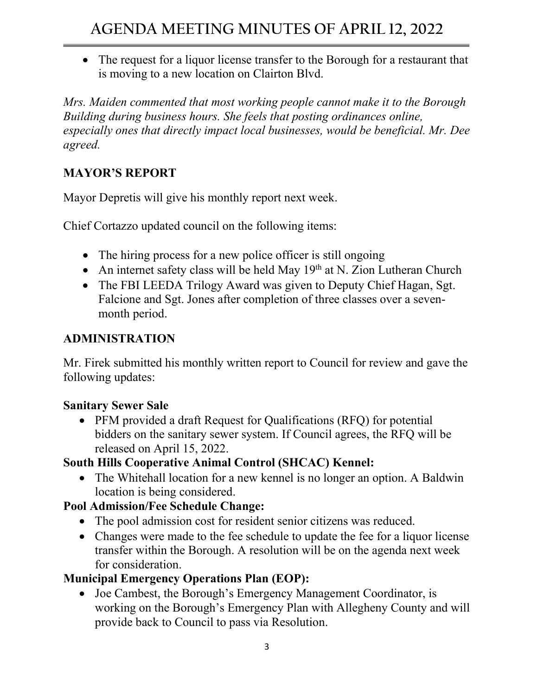• The request for a liquor license transfer to the Borough for a restaurant that is moving to a new location on Clairton Blvd.

*Mrs. Maiden commented that most working people cannot make it to the Borough Building during business hours. She feels that posting ordinances online, especially ones that directly impact local businesses, would be beneficial. Mr. Dee agreed.*

## **MAYOR'S REPORT**

Mayor Depretis will give his monthly report next week.

Chief Cortazzo updated council on the following items:

- The hiring process for a new police officer is still ongoing
- An internet safety class will be held May  $19<sup>th</sup>$  at N. Zion Lutheran Church
- The FBI LEEDA Trilogy Award was given to Deputy Chief Hagan, Sgt. Falcione and Sgt. Jones after completion of three classes over a sevenmonth period.

## **ADMINISTRATION**

Mr. Firek submitted his monthly written report to Council for review and gave the following updates:

#### **Sanitary Sewer Sale**

• PFM provided a draft Request for Qualifications (RFQ) for potential bidders on the sanitary sewer system. If Council agrees, the RFQ will be released on April 15, 2022.

## **South Hills Cooperative Animal Control (SHCAC) Kennel:**

• The Whitehall location for a new kennel is no longer an option. A Baldwin location is being considered.

## **Pool Admission/Fee Schedule Change:**

- The pool admission cost for resident senior citizens was reduced.
- Changes were made to the fee schedule to update the fee for a liquor license transfer within the Borough. A resolution will be on the agenda next week for consideration.

## **Municipal Emergency Operations Plan (EOP):**

• Joe Cambest, the Borough's Emergency Management Coordinator, is working on the Borough's Emergency Plan with Allegheny County and will provide back to Council to pass via Resolution.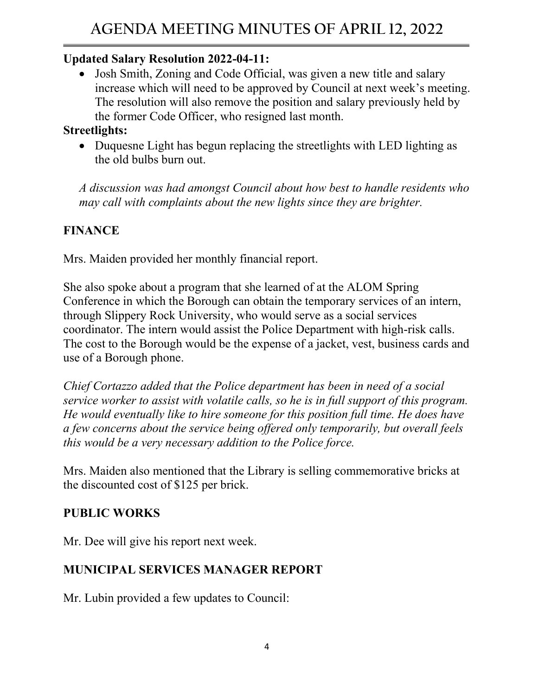## **Updated Salary Resolution 2022-04-11:**

• Josh Smith, Zoning and Code Official, was given a new title and salary increase which will need to be approved by Council at next week's meeting. The resolution will also remove the position and salary previously held by the former Code Officer, who resigned last month.

#### **Streetlights:**

• Duquesne Light has begun replacing the streetlights with LED lighting as the old bulbs burn out.

*A discussion was had amongst Council about how best to handle residents who may call with complaints about the new lights since they are brighter.* 

# **FINANCE**

Mrs. Maiden provided her monthly financial report.

She also spoke about a program that she learned of at the ALOM Spring Conference in which the Borough can obtain the temporary services of an intern, through Slippery Rock University, who would serve as a social services coordinator. The intern would assist the Police Department with high-risk calls. The cost to the Borough would be the expense of a jacket, vest, business cards and use of a Borough phone.

*Chief Cortazzo added that the Police department has been in need of a social service worker to assist with volatile calls, so he is in full support of this program. He would eventually like to hire someone for this position full time. He does have a few concerns about the service being offered only temporarily, but overall feels this would be a very necessary addition to the Police force.*

Mrs. Maiden also mentioned that the Library is selling commemorative bricks at the discounted cost of \$125 per brick.

## **PUBLIC WORKS**

Mr. Dee will give his report next week.

## **MUNICIPAL SERVICES MANAGER REPORT**

Mr. Lubin provided a few updates to Council: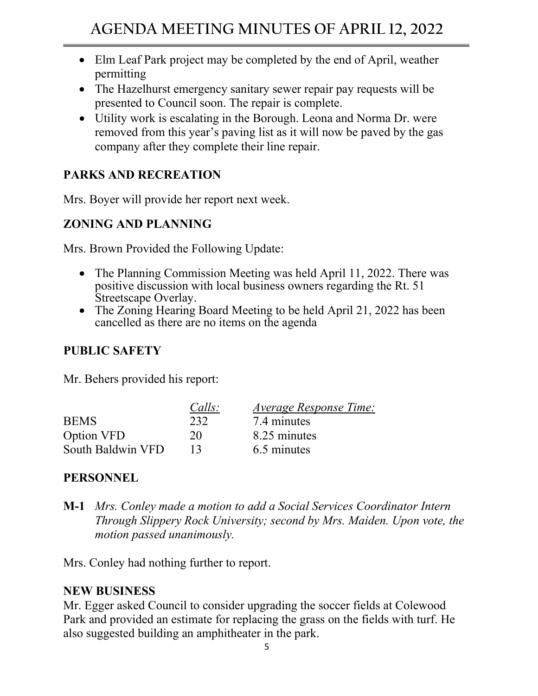- Elm Leaf Park project may be completed by the end of April, weather permitting
- The Hazelhurst emergency sanitary sewer repair pay requests will be presented to Council soon. The repair is complete.
- Utility work is escalating in the Borough. Leona and Norma Dr. were removed from this year's paving list as it will now be paved by the gas company after they complete their line repair.

#### **PARKS AND RECREATION**

Mrs. Boyer will provide her report next week.

#### **ZONING AND PLANNING**

Mrs. Brown Provided the Following Update:

- The Planning Commission Meeting was held April 11, 2022. There was positive discussion with local business owners regarding the Rt. 51 Streetscape Overlay.
- The Zoning Hearing Board Meeting to be held April 21, 2022 has been cancelled as there are no items on the agenda

#### **PUBLIC SAFETY**

Mr. Behers provided his report:

|                   | Calls: | <i>Average Response Time:</i> |
|-------------------|--------|-------------------------------|
| <b>BEMS</b>       | 232    | 7.4 minutes                   |
| Option VFD        | 20     | 8.25 minutes                  |
| South Baldwin VFD | 13     | 6.5 minutes                   |

## **PERSONNEL**

**M-1** *Mrs. Conley made a motion to add a Social Services Coordinator Intern Through Slippery Rock University; second by Mrs. Maiden. Upon vote, the motion passed unanimously.*

Mrs. Conley had nothing further to report.

#### **NEW BUSINESS**

Mr. Egger asked Council to consider upgrading the soccer fields at Colewood Park and provided an estimate for replacing the grass on the fields with turf. He also suggested building an amphitheater in the park.